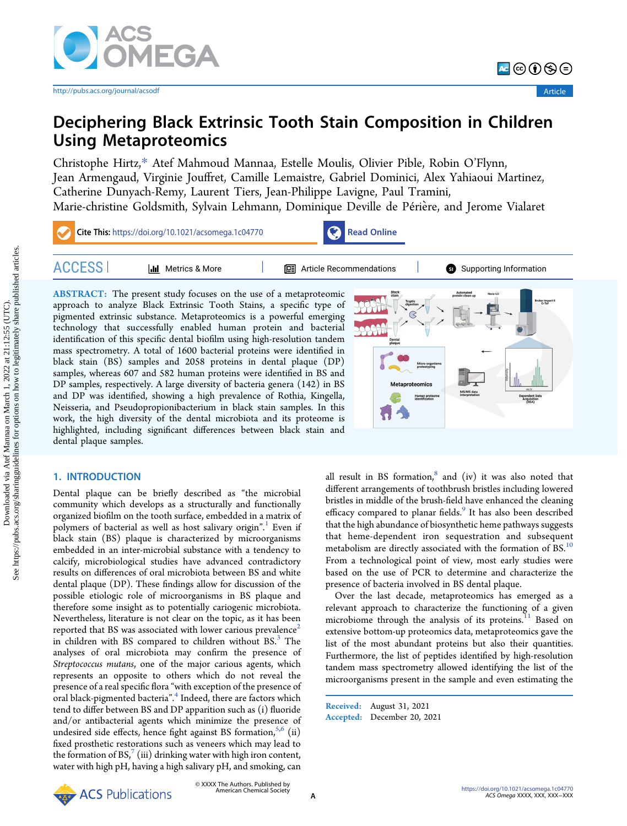

# Deciphering Black Extrinsic Tooth Stain Composition in Children Using Metaproteomics

[Christophe Hirtz,](https://pubs.acs.org/action/doSearch?field1=Contrib&text1="Christophe+Hirtz"&field2=AllField&text2=&publication=&accessType=allContent&Earliest=&ref=pdf)[\\*](#page-7-0) [Atef Mahmoud Mannaa,](https://pubs.acs.org/action/doSearch?field1=Contrib&text1="Atef+Mahmoud+Mannaa"&field2=AllField&text2=&publication=&accessType=allContent&Earliest=&ref=pdf) [Estelle Moulis,](https://pubs.acs.org/action/doSearch?field1=Contrib&text1="Estelle+Moulis"&field2=AllField&text2=&publication=&accessType=allContent&Earliest=&ref=pdf) [Olivier Pible,](https://pubs.acs.org/action/doSearch?field1=Contrib&text1="Olivier+Pible"&field2=AllField&text2=&publication=&accessType=allContent&Earliest=&ref=pdf) [Robin O](https://pubs.acs.org/action/doSearch?field1=Contrib&text1="Robin+O%E2%80%99Flynn"&field2=AllField&text2=&publication=&accessType=allContent&Earliest=&ref=pdf)'Flynn, [Jean Armengaud,](https://pubs.acs.org/action/doSearch?field1=Contrib&text1="Jean+Armengaud"&field2=AllField&text2=&publication=&accessType=allContent&Earliest=&ref=pdf) [Virginie Jou](https://pubs.acs.org/action/doSearch?field1=Contrib&text1="Virginie+Jouffret"&field2=AllField&text2=&publication=&accessType=allContent&Earliest=&ref=pdf)ffret[, Camille Lemaistre,](https://pubs.acs.org/action/doSearch?field1=Contrib&text1="Camille+Lemaistre"&field2=AllField&text2=&publication=&accessType=allContent&Earliest=&ref=pdf) [Gabriel Dominici,](https://pubs.acs.org/action/doSearch?field1=Contrib&text1="Gabriel+Dominici"&field2=AllField&text2=&publication=&accessType=allContent&Earliest=&ref=pdf) [Alex Yahiaoui Martinez,](https://pubs.acs.org/action/doSearch?field1=Contrib&text1="Alex+Yahiaoui+Martinez"&field2=AllField&text2=&publication=&accessType=allContent&Earliest=&ref=pdf) [Catherine Dunyach-Remy,](https://pubs.acs.org/action/doSearch?field1=Contrib&text1="Catherine+Dunyach-Remy"&field2=AllField&text2=&publication=&accessType=allContent&Earliest=&ref=pdf) [Laurent Tiers,](https://pubs.acs.org/action/doSearch?field1=Contrib&text1="Laurent+Tiers"&field2=AllField&text2=&publication=&accessType=allContent&Earliest=&ref=pdf) [Jean-Philippe Lavigne,](https://pubs.acs.org/action/doSearch?field1=Contrib&text1="Jean-Philippe+Lavigne"&field2=AllField&text2=&publication=&accessType=allContent&Earliest=&ref=pdf) [Paul Tramini,](https://pubs.acs.org/action/doSearch?field1=Contrib&text1="Paul+Tramini"&field2=AllField&text2=&publication=&accessType=allContent&Earliest=&ref=pdf) [Marie-christine Goldsmith,](https://pubs.acs.org/action/doSearch?field1=Contrib&text1="Marie-christine+Goldsmith"&field2=AllField&text2=&publication=&accessType=allContent&Earliest=&ref=pdf) [Sylvain Lehmann,](https://pubs.acs.org/action/doSearch?field1=Contrib&text1="Sylvain+Lehmann"&field2=AllField&text2=&publication=&accessType=allContent&Earliest=&ref=pdf) [Dominique Deville de P](https://pubs.acs.org/action/doSearch?field1=Contrib&text1="Dominique+Deville+de+Pe%CC%81rie%CC%80re"&field2=AllField&text2=&publication=&accessType=allContent&Earliest=&ref=pdf)ériere[, and Jerome Vialaret](https://pubs.acs.org/action/doSearch?field1=Contrib&text1="Jerome+Vialaret"&field2=AllField&text2=&publication=&accessType=allContent&Earliest=&ref=pdf) ̀



approach to analyze Black Extrinsic Tooth Stains, a specific type of pigmented extrinsic substance. Metaproteomics is a powerful emerging technology that successfully enabled human protein and bacterial identification of this specific dental biofilm using high-resolution tandem mass spectrometry. A total of 1600 bacterial proteins were identified in black stain (BS) samples and 2058 proteins in dental plaque (DP) samples, whereas 607 and 582 human proteins were identified in BS and DP samples, respectively. A large diversity of bacteria genera (142) in BS and DP was identified, showing a high prevalence of Rothia, Kingella, Neisseria, and Pseudopropionibacterium in black stain samples. In this work, the high diversity of the dental microbiota and its proteome is highlighted, including significant differences between black stain and dental plaque samples.



# 1. INTRODUCTION

Dental plaque can be briefly described as "the microbial community which develops as a structurally and functionally organized biofilm on the tooth surface, embedded in a matrix of polymers of bacterial as well as host salivary origin". [1](#page-8-0) Even if black stain (BS) plaque is characterized by microorganisms embedded in an inter-microbial substance with a tendency to calcify, microbiological studies have advanced contradictory results on differences of oral microbiota between BS and white dental plaque (DP). These findings allow for discussion of the possible etiologic role of microorganisms in BS plaque and therefore some insight as to potentially cariogenic microbiota. Nevertheless, literature is not clear on the topic, as it has been reported that BS was associated with lower carious prevalence<sup>[2](#page-8-0)</sup> in children with BS compared to children without  $BS^3$  $BS^3$ . The analyses of oral microbiota may confirm the presence of Streptococcus mutans, one of the major carious agents, which represents an opposite to others which do not reveal the presence of a real specific flora "with exception of the presence of oral black-pigmented bacteria". [4](#page-8-0) Indeed, there are factors which tend to differ between BS and DP apparition such as (i) fluoride and/or antibacterial agents which minimize the presence of undesired side effects, hence fight against BS formation,  $5,6$  (ii) fixed prosthetic restorations such as veneers which may lead to the formation of BS, $^7$  $^7$  (iii) drinking water with high iron content, water with high pH, having a high salivary pH, and smoking, can

all result in BS formation, $8$  and (iv) it was also noted that different arrangements of toothbrush bristles including lowered bristles in middle of the brush-field have enhanced the cleaning efficacy compared to planar fields.<sup>[9](#page-8-0)</sup> It has also been described that the high abundance of biosynthetic heme pathways suggests that heme-dependent iron sequestration and subsequent metabolism are directly associated with the formation of BS.<sup>10</sup> From a technological point of view, most early studies were based on the use of PCR to determine and characterize the presence of bacteria involved in BS dental plaque.

Over the last decade, metaproteomics has emerged as a relevant approach to characterize the functioning of a given microbiome through the analysis of its proteins.<sup>11</sup> Based on extensive bottom-up proteomics data, metaproteomics gave the list of the most abundant proteins but also their quantities. Furthermore, the list of peptides identified by high-resolution tandem mass spectrometry allowed identifying the list of the microorganisms present in the sample and even estimating the

Received: August 31, 2021 Accepted: December 20, 2021

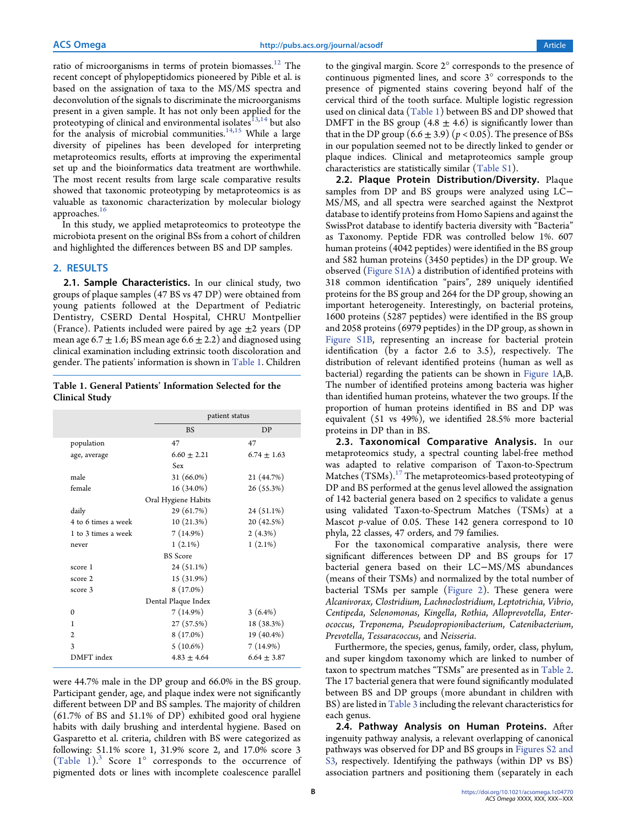<span id="page-1-0"></span>ratio of microorganisms in terms of protein biomasses.<sup>12</sup> The recent concept of phylopeptidomics pioneered by Pible et al. is based on the assignation of taxa to the MS/MS spectra and deconvolution of the signals to discriminate the microorganisms present in a given sample. It has not only been applied for the proteotyping of clinical and environmental isolates $^{13,14}$  $^{13,14}$  $^{13,14}$  but also for the analysis of microbial communities.<sup>[14,15](#page-8-0)</sup> While a large diversity of pipelines has been developed for interpreting metaproteomics results, efforts at improving the experimental set up and the bioinformatics data treatment are worthwhile. The most recent results from large scale comparative results showed that taxonomic proteotyping by metaproteomics is as valuable as taxonomic characterization by molecular biology approaches.<sup>16</sup>

In this study, we applied metaproteomics to proteotype the microbiota present on the original BSs from a cohort of children and highlighted the differences between BS and DP samples.

## 2. RESULTS

2.1. Sample Characteristics. In our clinical study, two groups of plaque samples (47 BS vs 47 DP) were obtained from young patients followed at the Department of Pediatric Dentistry, CSERD Dental Hospital, CHRU Montpellier (France). Patients included were paired by age  $\pm 2$  years (DP mean age 6.7  $\pm$  1.6; BS mean age 6.6  $\pm$  2.2) and diagnosed using clinical examination including extrinsic tooth discoloration and gender. The patients' information is shown in Table 1. Children

Table 1. General Patients' Information Selected for the Clinical Study

|                     |                     | patient status |
|---------------------|---------------------|----------------|
|                     | <b>BS</b>           | DP             |
| population          | 47                  | 47             |
| age, average        | $6.60 \pm 2.21$     | $6.74 + 1.63$  |
|                     | Sex                 |                |
| male                | $31(66.0\%)$        | 21 (44.7%)     |
| female              | $16(34.0\%)$        | 26 (55.3%)     |
|                     | Oral Hygiene Habits |                |
| daily               | 29 (61.7%)          | 24 (51.1%)     |
| 4 to 6 times a week | 10(21.3%)           | 20 (42.5%)     |
| 1 to 3 times a week | 7(14.9%)            | 2(4.3%)        |
| never               | $1(2.1\%)$          | $1(2.1\%)$     |
|                     | <b>BS</b> Score     |                |
| score 1             | 24 (51.1%)          |                |
| score 2             | 15 (31.9%)          |                |
| score 3             | $8(17.0\%)$         |                |
|                     | Dental Plaque Index |                |
| $\Omega$            | 7(14.9%)            | $3(6.4\%)$     |
| 1                   | 27 (57.5%)          | 18 (38.3%)     |
| $\overline{2}$      | $8(17.0\%)$         | 19 (40.4%)     |
| 3                   | $5(10.6\%)$         | 7(14.9%)       |
| DMFT index          | $4.83 + 4.64$       | $6.64 + 3.87$  |

were 44.7% male in the DP group and 66.0% in the BS group. Participant gender, age, and plaque index were not significantly different between DP and BS samples. The majority of children (61.7% of BS and 51.1% of DP) exhibited good oral hygiene habits with daily brushing and interdental hygiene. Based on Gasparetto et al. criteria, children with BS were categorized as following: 51.1% score 1, 31.9% score 2, and 17.0% score 3  $(Table 1).$ <sup>[3](#page-8-0)</sup> Score 1 $^{\circ}$  corresponds to the occurrence of pigmented dots or lines with incomplete coalescence parallel

to the gingival margin. Score 2° corresponds to the presence of continuous pigmented lines, and score 3° corresponds to the presence of pigmented stains covering beyond half of the cervical third of the tooth surface. Multiple logistic regression used on clinical data (Table 1) between BS and DP showed that DMFT in the BS group  $(4.8 \pm 4.6)$  is significantly lower than that in the DP group  $(6.6 \pm 3.9)$   $(p < 0.05)$ . The presence of BSs in our population seemed not to be directly linked to gender or plaque indices. Clinical and metaproteomics sample group characteristics are statistically similar [\(Table S1](https://pubs.acs.org/doi/suppl/10.1021/acsomega.1c04770/suppl_file/ao1c04770_si_001.xlsx)).

2.2. Plaque Protein Distribution/Diversity. Plaque samples from DP and BS groups were analyzed using LC− MS/MS, and all spectra were searched against the Nextprot database to identify proteins from Homo Sapiens and against the SwissProt database to identify bacteria diversity with "Bacteria" as Taxonomy. Peptide FDR was controlled below 1%. 607 human proteins (4042 peptides) were identified in the BS group and 582 human proteins (3450 peptides) in the DP group. We observed ([Figure S1A](https://pubs.acs.org/doi/suppl/10.1021/acsomega.1c04770/suppl_file/ao1c04770_si_003.pdf)) a distribution of identified proteins with 318 common identification "pairs", 289 uniquely identified proteins for the BS group and 264 for the DP group, showing an important heterogeneity. Interestingly, on bacterial proteins, 1600 proteins (5287 peptides) were identified in the BS group and 2058 proteins (6979 peptides) in the DP group, as shown in [Figure S1B](https://pubs.acs.org/doi/suppl/10.1021/acsomega.1c04770/suppl_file/ao1c04770_si_003.pdf), representing an increase for bacterial protein identification (by a factor 2.6 to 3.5), respectively. The distribution of relevant identified proteins (human as well as bacterial) regarding the patients can be shown in [Figure 1](#page-2-0)A,B. The number of identified proteins among bacteria was higher than identified human proteins, whatever the two groups. If the proportion of human proteins identified in BS and DP was equivalent (51 vs 49%), we identified 28.5% more bacterial proteins in DP than in BS.

2.3. Taxonomical Comparative Analysis. In our metaproteomics study, a spectral counting label-free method was adapted to relative comparison of Taxon-to-Spectrum Matches (TSMs).<sup>[17](#page-8-0)</sup> The metaproteomics-based proteotyping of DP and BS performed at the genus level allowed the assignation of 142 bacterial genera based on 2 specifics to validate a genus using validated Taxon-to-Spectrum Matches (TSMs) at a Mascot p-value of 0.05. These 142 genera correspond to 10 phyla, 22 classes, 47 orders, and 79 families.

For the taxonomical comparative analysis, there were significant differences between DP and BS groups for 17 bacterial genera based on their LC−MS/MS abundances (means of their TSMs) and normalized by the total number of bacterial TSMs per sample ([Figure 2\)](#page-2-0). These genera were Alcanivorax, Clostridium, Lachnoclostridium, Leptotrichia, Vibrio, Centipeda, Selenomonas, Kingella, Rothia, Alloprevotella, Enterococcus, Treponema, Pseudopropionibacterium, Catenibacterium, Prevotella, Tessaracoccus, and Neisseria.

Furthermore, the species, genus, family, order, class, phylum, and super kingdom taxonomy which are linked to number of taxon to spectrum matches "TSMs" are presented as in [Table 2](#page-3-0). The 17 bacterial genera that were found significantly modulated between BS and DP groups (more abundant in children with BS) are listed in [Table 3](#page-4-0) including the relevant characteristics for each genus.

2.4. Pathway Analysis on Human Proteins. After ingenuity pathway analysis, a relevant overlapping of canonical pathways was observed for DP and BS groups in [Figures S2 and](https://pubs.acs.org/doi/suppl/10.1021/acsomega.1c04770/suppl_file/ao1c04770_si_003.pdf) [S3](https://pubs.acs.org/doi/suppl/10.1021/acsomega.1c04770/suppl_file/ao1c04770_si_003.pdf), respectively. Identifying the pathways (within DP vs BS) association partners and positioning them (separately in each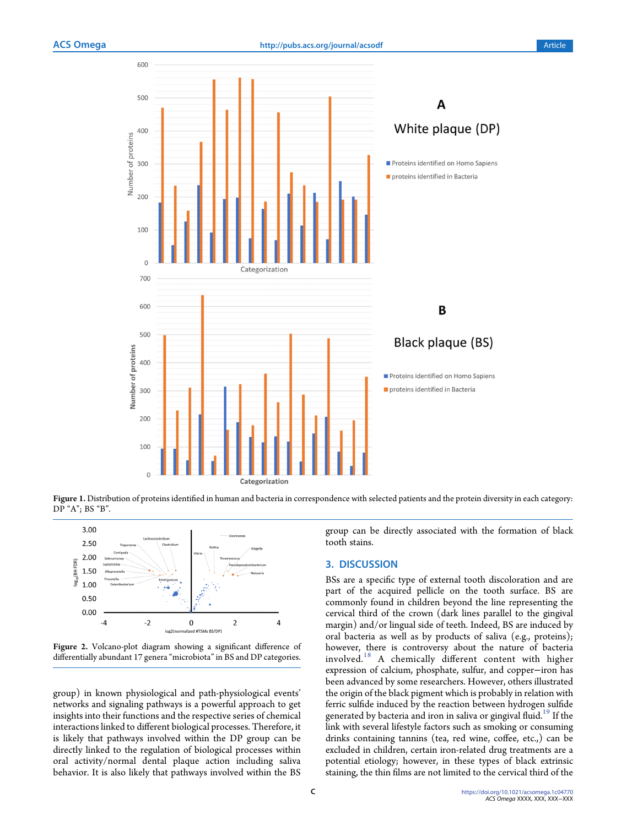<span id="page-2-0"></span>

Figure 1. Distribution of proteins identified in human and bacteria in correspondence with selected patients and the protein diversity in each category: DP "A"; BS "B".



Figure 2. Volcano-plot diagram showing a significant difference of differentially abundant 17 genera "microbiota" in BS and DP categories.

group) in known physiological and path-physiological events' networks and signaling pathways is a powerful approach to get insights into their functions and the respective series of chemical interactions linked to different biological processes. Therefore, it is likely that pathways involved within the DP group can be directly linked to the regulation of biological processes within oral activity/normal dental plaque action including saliva behavior. It is also likely that pathways involved within the BS

group can be directly associated with the formation of black tooth stains.

#### 3. DISCUSSION

BSs are a specific type of external tooth discoloration and are part of the acquired pellicle on the tooth surface. BS are commonly found in children beyond the line representing the cervical third of the crown (dark lines parallel to the gingival margin) and/or lingual side of teeth. Indeed, BS are induced by oral bacteria as well as by products of saliva (e.g., proteins); however, there is controversy about the nature of bacteria involved.[18](#page-8-0) A chemically different content with higher expression of calcium, phosphate, sulfur, and copper−iron has been advanced by some researchers. However, others illustrated the origin of the black pigment which is probably in relation with ferric sulfide induced by the reaction between hydrogen sulfide generated by bacteria and iron in saliva or gingival fluid.<sup>[19](#page-8-0)</sup> If the link with several lifestyle factors such as smoking or consuming drinks containing tannins (tea, red wine, coffee, etc.,) can be excluded in children, certain iron-related drug treatments are a potential etiology; however, in these types of black extrinsic staining, the thin films are not limited to the cervical third of the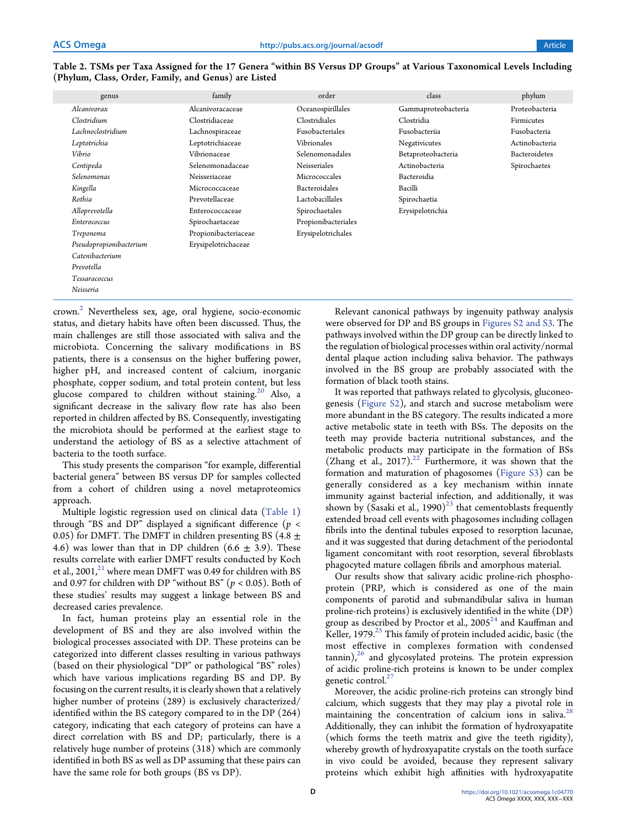<span id="page-3-0"></span>

| Table 2. TSMs per Taxa Assigned for the 17 Genera "within BS Versus DP Groups" at Various Taxonomical Levels Including |  |
|------------------------------------------------------------------------------------------------------------------------|--|
| (Phylum, Class, Order, Family, and Genus) are Listed                                                                   |  |

| genus                   | family               | order                | class               | phylum         |
|-------------------------|----------------------|----------------------|---------------------|----------------|
| Alcanivorax             | Alcanivoracaceae     | Oceanospirillales    | Gammaproteobacteria | Proteobacteria |
| Clostridium             | Clostridiaceae       | Clostridiales        | Clostridia          | Firmicutes     |
| Lachnoclostridium       | Lachnospiraceae      | Fusobacteriales      | Fusobacteriia       | Fusobacteria   |
| Leptotrichia            | Leptotrichiaceae     | Vibrionales          | Negativicutes       | Actinobacteria |
| Vibrio                  | Vibrionaceae         | Selenomonadales      | Betaproteobacteria  | Bacteroidetes  |
| Centipeda               | Selenomonadaceae     | Neisseriales         | Actinobacteria      | Spirochaetes   |
| Selenomonas             | Neisseriaceae        | Micrococcales        | Bacteroidia         |                |
| Kingella                | Micrococcaceae       | <b>Bacteroidales</b> | Bacilli             |                |
| Rothia                  | Prevotellaceae       | Lactobacillales      | Spirochaetia        |                |
| Alloprevotella          | Enterococcaceae      | Spirochaetales       | Erysipelotrichia    |                |
| Enterococcus            | Spirochaetaceae      | Propionibacteriales  |                     |                |
| Treponema               | Propionibacteriaceae | Erysipelotrichales   |                     |                |
| Pseudopropionibacterium | Erysipelotrichaceae  |                      |                     |                |
| Catenibacterium         |                      |                      |                     |                |
| Prevotella              |                      |                      |                     |                |
| Tessaracoccus           |                      |                      |                     |                |
| Neisseria               |                      |                      |                     |                |

crown[.2](#page-8-0) Nevertheless sex, age, oral hygiene, socio-economic status, and dietary habits have often been discussed. Thus, the main challenges are still those associated with saliva and the microbiota. Concerning the salivary modifications in BS patients, there is a consensus on the higher buffering power, higher pH, and increased content of calcium, inorganic phosphate, copper sodium, and total protein content, but less glucose compared to children without staining.<sup>[20](#page-8-0)</sup> Also, a significant decrease in the salivary flow rate has also been reported in children affected by BS. Consequently, investigating the microbiota should be performed at the earliest stage to understand the aetiology of BS as a selective attachment of bacteria to the tooth surface.

This study presents the comparison "for example, differential bacterial genera" between BS versus DP for samples collected from a cohort of children using a novel metaproteomics approach.

Multiple logistic regression used on clinical data [\(Table 1](#page-1-0)) through "BS and DP" displayed a significant difference ( $p <$ 0.05) for DMFT. The DMFT in children presenting BS (4.8  $\pm$ 4.6) was lower than that in DP children  $(6.6 \pm 3.9)$ . These results correlate with earlier DMFT results conducted by Koch et al.,  $2001$ , $^{21}$  $^{21}$  $^{21}$  where mean DMFT was 0.49 for children with BS and 0.97 for children with DP "without BS" ( $p < 0.05$ ). Both of these studies' results may suggest a linkage between BS and decreased caries prevalence.

In fact, human proteins play an essential role in the development of BS and they are also involved within the biological processes associated with DP. These proteins can be categorized into different classes resulting in various pathways (based on their physiological "DP" or pathological "BS" roles) which have various implications regarding BS and DP. By focusing on the current results, it is clearly shown that a relatively higher number of proteins (289) is exclusively characterized/ identified within the BS category compared to in the DP (264) category, indicating that each category of proteins can have a direct correlation with BS and DP; particularly, there is a relatively huge number of proteins (318) which are commonly identified in both BS as well as DP assuming that these pairs can have the same role for both groups (BS vs DP).

Relevant canonical pathways by ingenuity pathway analysis were observed for DP and BS groups in [Figures S2 and S3.](https://pubs.acs.org/doi/suppl/10.1021/acsomega.1c04770/suppl_file/ao1c04770_si_003.pdf) The pathways involved within the DP group can be directly linked to the regulation of biological processes within oral activity/normal dental plaque action including saliva behavior. The pathways involved in the BS group are probably associated with the formation of black tooth stains.

It was reported that pathways related to glycolysis, gluconeogenesis [\(Figure S2](https://pubs.acs.org/doi/suppl/10.1021/acsomega.1c04770/suppl_file/ao1c04770_si_003.pdf)), and starch and sucrose metabolism were more abundant in the BS category. The results indicated a more active metabolic state in teeth with BSs. The deposits on the teeth may provide bacteria nutritional substances, and the metabolic products may participate in the formation of BSs (Zhang et al.,  $2017$ ).<sup>[22](#page-8-0)</sup> Furthermore, it was shown that the formation and maturation of phagosomes ([Figure S3](https://pubs.acs.org/doi/suppl/10.1021/acsomega.1c04770/suppl_file/ao1c04770_si_003.pdf)) can be generally considered as a key mechanism within innate immunity against bacterial infection, and additionally, it was shown by (Sasaki et al., 1990)<sup>23</sup> that cementoblasts frequently extended broad cell events with phagosomes including collagen fibrils into the dentinal tubules exposed to resorption lacunae, and it was suggested that during detachment of the periodontal ligament concomitant with root resorption, several fibroblasts phagocyted mature collagen fibrils and amorphous material.

Our results show that salivary acidic proline-rich phosphoprotein (PRP, which is considered as one of the main components of parotid and submandibular saliva in human proline-rich proteins) is exclusively identified in the white (DP) group as described by Proctor et al.,  $2005^{24}$  $2005^{24}$  $2005^{24}$  and Kauffman and Keller, 1979.<sup>[25](#page-8-0)</sup> This family of protein included acidic, basic (the most effective in complexes formation with condensed  $tannin)$ ,<sup>[26](#page-8-0)</sup> and glycosylated proteins. The protein expression of acidic proline-rich proteins is known to be under complex genetic control.<sup>[27](#page-8-0)</sup>

Moreover, the acidic proline-rich proteins can strongly bind calcium, which suggests that they may play a pivotal role in maintaining the concentration of calcium ions in saliva.<sup>28</sup> Additionally, they can inhibit the formation of hydroxyapatite (which forms the teeth matrix and give the teeth rigidity), whereby growth of hydroxyapatite crystals on the tooth surface in vivo could be avoided, because they represent salivary proteins which exhibit high affinities with hydroxyapatite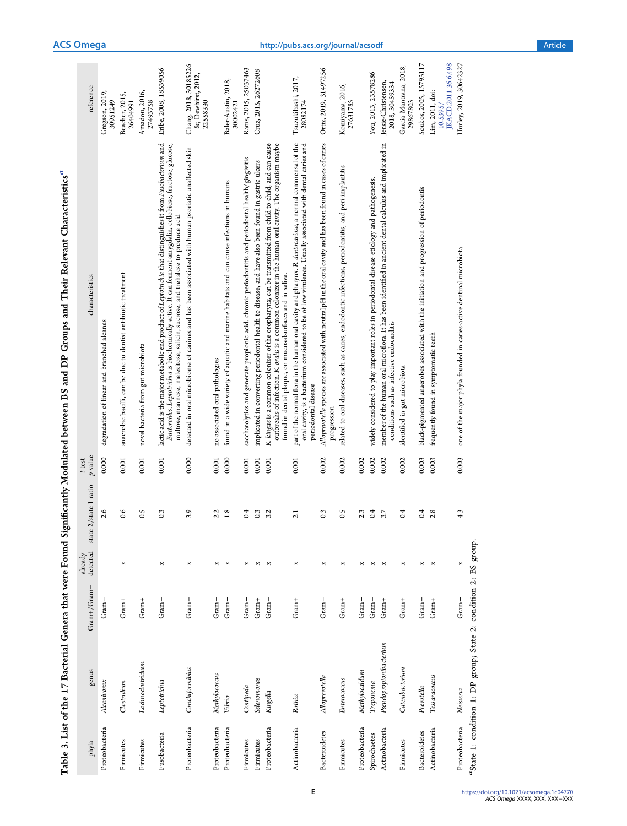| ï                        |
|--------------------------|
|                          |
|                          |
|                          |
|                          |
|                          |
| Í                        |
|                          |
| Ì                        |
|                          |
|                          |
|                          |
|                          |
| i                        |
|                          |
| .<br>4                   |
| י<br>ו                   |
| ا<br>;                   |
|                          |
| ë,                       |
| j<br>I                   |
|                          |
|                          |
|                          |
|                          |
|                          |
|                          |
|                          |
|                          |
|                          |
|                          |
|                          |
|                          |
|                          |
|                          |
|                          |
|                          |
|                          |
|                          |
|                          |
|                          |
|                          |
| ļ                        |
|                          |
|                          |
|                          |
|                          |
| $\frac{1}{2}$            |
|                          |
| nera that                |
| )                        |
|                          |
|                          |
|                          |
|                          |
| I<br>֚֕֕                 |
| $\overline{\phantom{a}}$ |
|                          |
|                          |
|                          |
|                          |
|                          |
| ׇׇ֚֚֘֝֝<br>Ì             |
|                          |
| i                        |
| í<br>I                   |

<span id="page-4-0"></span>

| phyla                | genus                                                            | $Gram+/Gram-$ | detected<br>already | state 1 ratio<br>state $2/$ | $p$ -value<br>t-test | characteristics                                                                                                                                                                                                                                                                                             | reference                                               |
|----------------------|------------------------------------------------------------------|---------------|---------------------|-----------------------------|----------------------|-------------------------------------------------------------------------------------------------------------------------------------------------------------------------------------------------------------------------------------------------------------------------------------------------------------|---------------------------------------------------------|
| Proteobacteria       | Alcanivorax                                                      | $Gram -$      |                     | 2.6                         | 0.000                | degradation of linear and branched alcanes                                                                                                                                                                                                                                                                  | Gregson, 2019,<br>30951249                              |
| Firmicutes           | $\alpha$ ostridium                                               | $Gram+$       | ×                   | 0.6                         | 0.001                | anaerobic bacilli, can be due to dentist antibiotic treatment                                                                                                                                                                                                                                               | Beacher, 2015,<br>26404991                              |
| Firmicutes           | Lachnoclostridium                                                | $Gram+$       |                     | 0.5                         | 0.001                | novel bacteria from gut microbiota                                                                                                                                                                                                                                                                          | Amadou, 2016,<br>27493758                               |
| Fusobacteria         | Leptotrichia                                                     | $Gram -$      | ×                   | 0.3                         | 0.001                | lactic acid is the major metabolic end product of Leptotrichia that distinguishes it from Fusobacterium and<br>Bacteroides. Leptotrichia is biochemically active. It can ferment amygdalin, cellobiose, fructose, glucose,<br>maltose, mannose, melezitose, salicin, sucrose, and trehalose to produce acid | Eribe, 2008, 18539056                                   |
| Proteobacteria       | Conchiformibius                                                  | $Gram -$      | ×                   | 3.9                         | 0.000                | detected in oral microbiome of canines and has been associated with human psoriatic unaffected skin                                                                                                                                                                                                         | Chang, 2018, 30185226<br>&; Dewhirst, 2012,<br>22558330 |
| Proteobacteria       | Methylococcus                                                    | Gram $-$      | ×                   | 2.2                         | 0.001                | no associated oral pathologies                                                                                                                                                                                                                                                                              |                                                         |
| Proteobacteria       | Vibrio                                                           | $Gram -$      | ×                   | 1.8                         | 0.000                | found in a wide variety of aquatic and marine habitats and can cause infections in humans                                                                                                                                                                                                                   | Baler-Austin, 2018,<br>30002421                         |
| Firmicutes           | Centipeda                                                        | $Gram-$       | ×                   | 0.4                         | 0.001                | saccharolytics and generate propionic acid. chronic periodontitis and periodontal health/gingivitis                                                                                                                                                                                                         | Rams, 2015, 25037463                                    |
| Firmicutes           | Selenomonas                                                      | $Gram+$       | ×                   | 0.3                         | 0.001                | implicated in converting periodontal health to disease, and have also been found in gastric ulcers                                                                                                                                                                                                          | Cruz, 2015, 26272608                                    |
| Proteobacteria       | Kingella                                                         | $Gram -$      | ×                   | 3.2                         | 0.001                | K. kingae is a common colonizer of the oropharynx, can be transmitted from child to child, and can cause<br>outbreaks of infection. K. oralis is a common colonizer in the human oral cavity. The organism maybe<br>found in dental plaque, on mucosalsurfaces and in saliva.                               |                                                         |
| Actinobacteria       | Rothia                                                           | $Gran+$       | ×                   | 2.1                         | 0.001                | part of the normal flora in the human oral cavity and pharynx. R. dentocariosa, a normal commensal of the<br>oral cavity, is a bacterium considered to be of low virulence. Usually associated with dental caries and<br>periodontal disease                                                                | Tsuzukibashi, 2017,<br>28082174                         |
| <b>Bacteroidetes</b> | Alloprevotella                                                   | $Gram -$      | ×                   | $0.\overline{3}$            | 0.002                | Alloprevotella species are associated with neutral pH in the oral cavity and has been found in cases of caries<br>progression                                                                                                                                                                               | Ortiz, 2019, 31497256                                   |
| Firmicutes           | Enterococcus                                                     | $Gran+$       | ×                   | 0.5                         | 0.002                | related to oral diseases, such as caries, endodontic infections, periodontitis, and peri-implantitis                                                                                                                                                                                                        | Komiyama, 2016,<br>27631785                             |
| Proteobacteria       | Methylocaldum                                                    | $Gram-$       | ×                   | 2.3                         | 0.002                |                                                                                                                                                                                                                                                                                                             |                                                         |
| Spirochaetes         | Ттеропета                                                        | $Gram-$       | ×                   | 0.4                         | 0.002                | widely considered to play important roles in periodontal disease etiology and pathogenesis.                                                                                                                                                                                                                 | You, 2013, 23578286                                     |
| Actinobacteria       | Pseudopropionibacterium                                          | $Gran+$       | ×                   | 3.7                         | 0.002                | member of the human oral microflora. It has been identified in ancient dental calculus and implicated in<br>conditions such as infective endocarditis                                                                                                                                                       | Jersie-Christensen,<br>2018, 30459334                   |
| Firmicutes           | Catenibacterium                                                  | $Gran+$       | ×                   | 0.4                         | 0.002                | identified in gut microbiota                                                                                                                                                                                                                                                                                | Garcia-Mantrana, 2018,<br>29867803                      |
| <b>Bacteroidetes</b> | Prevotella                                                       | $Gran -$      | ×                   | 0.4                         | 0.003                | black-pigmented anaerobes associated with the initiation and progression of periodontis                                                                                                                                                                                                                     | Soukos, 2005, 15793117                                  |
| Actinobacteria       | Tessaracoccus                                                    | $Gram+$       | ×                   | 2.8                         | 0.003                | frequently found in symptomatic teeth                                                                                                                                                                                                                                                                       | JKACD.2011.36.6.498<br>Lim, 2011, doi:<br>10.5395/      |
| Proteobacteria       | Neisseria                                                        | $Gram -$      | ×                   | 4.3                         | 0.003                | one of the major phyla founded in caries-active dentinal microbiota                                                                                                                                                                                                                                         | Hurley, 2019, 30642327                                  |
|                      | "State 1: condition 1: DP group; State 2: condition 2: BS group. |               |                     |                             |                      |                                                                                                                                                                                                                                                                                                             |                                                         |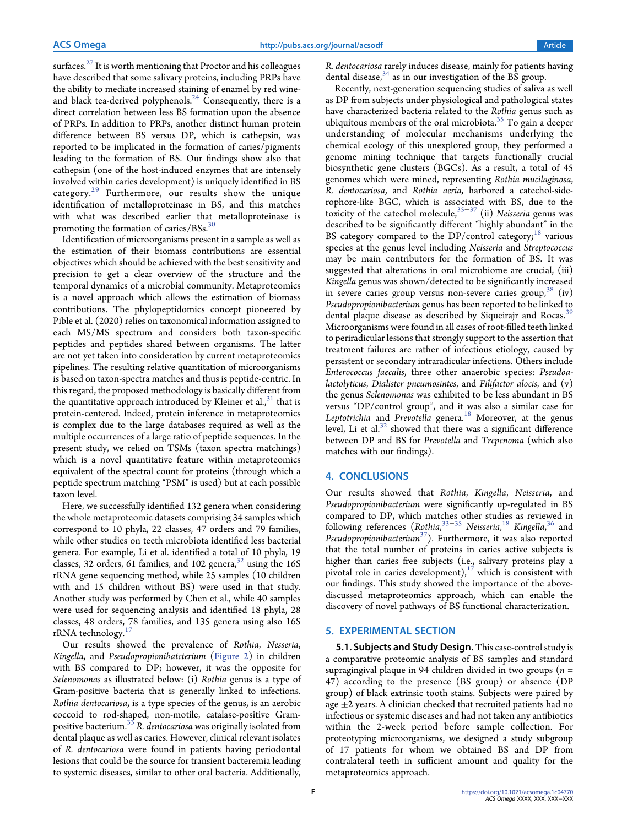surfaces. $27$  It is worth mentioning that Proctor and his colleagues have described that some salivary proteins, including PRPs have the ability to mediate increased staining of enamel by red wineand black tea-derived polyphenols. $24$  Consequently, there is a direct correlation between less BS formation upon the absence of PRPs. In addition to PRPs, another distinct human protein difference between BS versus DP, which is cathepsin, was reported to be implicated in the formation of caries/pigments leading to the formation of BS. Our findings show also that cathepsin (one of the host-induced enzymes that are intensely involved within caries development) is uniquely identified in BS category.[29](#page-9-0) Furthermore, our results show the unique identification of metalloproteinase in BS, and this matches with what was described earlier that metalloproteinase is promoting the formation of caries/ $BSS^3$ 

Identification of microorganisms present in a sample as well as the estimation of their biomass contributions are essential objectives which should be achieved with the best sensitivity and precision to get a clear overview of the structure and the temporal dynamics of a microbial community. Metaproteomics is a novel approach which allows the estimation of biomass contributions. The phylopeptidomics concept pioneered by Pible et al. (2020) relies on taxonomical information assigned to each MS/MS spectrum and considers both taxon-specific peptides and peptides shared between organisms. The latter are not yet taken into consideration by current metaproteomics pipelines. The resulting relative quantitation of microorganisms is based on taxon-spectra matches and thus is peptide-centric. In this regard, the proposed methodology is basically different from the quantitative approach introduced by Kleiner et al., $31$  that is protein-centered. Indeed, protein inference in metaproteomics is complex due to the large databases required as well as the multiple occurrences of a large ratio of peptide sequences. In the present study, we relied on TSMs (taxon spectra matchings) which is a novel quantitative feature within metaproteomics equivalent of the spectral count for proteins (through which a peptide spectrum matching "PSM" is used) but at each possible taxon level.

Here, we successfully identified 132 genera when considering the whole metaproteomic datasets comprising 34 samples which correspond to 10 phyla, 22 classes, 47 orders and 79 families, while other studies on teeth microbiota identified less bacterial genera. For example, Li et al. identified a total of 10 phyla, 19 classes, 32 orders, 61 families, and 102 genera,  $32$  using the 16S rRNA gene sequencing method, while 25 samples (10 children with and 15 children without BS) were used in that study. Another study was performed by Chen et al., while 40 samples were used for sequencing analysis and identified 18 phyla, 28 classes, 48 orders, 78 families, and 135 genera using also 16S rRNA technology.<sup>1</sup>

Our results showed the prevalence of Rothia, Nesseria, Kingella, and Pseudopropionibatcterium ([Figure 2\)](#page-2-0) in children with BS compared to DP; however, it was the opposite for Selenomonas as illustrated below: (i) Rothia genus is a type of Gram-positive bacteria that is generally linked to infections. Rothia dentocariosa, is a type species of the genus, is an aerobic coccoid to rod-shaped, non-motile, catalase-positive Grampositive bacterium.<sup>35</sup> R. dentocariosa was originally isolated from dental plaque as well as caries. However, clinical relevant isolates of R. dentocariosa were found in patients having periodontal lesions that could be the source for transient bacteremia leading to systemic diseases, similar to other oral bacteria. Additionally, R. dentocariosa rarely induces disease, mainly for patients having dental disease, $34$  as in our investigation of the BS group.

Recently, next-generation sequencing studies of saliva as well as DP from subjects under physiological and pathological states have characterized bacteria related to the Rothia genus such as ubiquitous members of the oral microbiota.<sup>[35](#page-9-0)</sup> To gain a deeper understanding of molecular mechanisms underlying the chemical ecology of this unexplored group, they performed a genome mining technique that targets functionally crucial biosynthetic gene clusters (BGCs). As a result, a total of 45 genomes which were mined, representing Rothia mucilaginosa, R. dentocariosa, and Rothia aeria, harbored a catechol-siderophore-like BGC, which is associated with BS, due to the toxicity of the catechol molecule,<sup>[35](#page-9-0)−[37](#page-9-0)</sup> (ii) Neisseria genus was described to be significantly different "highly abundant" in the BS category compared to the  $DP/c$ ontrol category;<sup>[18](#page-8-0)</sup> various species at the genus level including Neisseria and Streptococcus may be main contributors for the formation of BS. It was suggested that alterations in oral microbiome are crucial, (iii) Kingella genus was shown/detected to be significantly increased in severe caries group versus non-severe caries group,  $38$  (iv) Pseudopropionibacterium genus has been reported to be linked to dental plaque disease as described by Siqueirajr and Rocas.<sup>35</sup> Microorganisms were found in all cases of root-filled teeth linked to periradicular lesions that strongly support to the assertion that treatment failures are rather of infectious etiology, caused by persistent or secondary intraradicular infections. Others include Enterococcus faecalis, three other anaerobic species: Pseudoalactolyticus, Dialister pneumosintes, and Filifactor alocis, and  $(v)$ the genus Selenomonas was exhibited to be less abundant in BS versus "DP/control group", and it was also a similar case for Leptotrichia and Prevotella genera.<sup>[18](#page-8-0)</sup> Moreover, at the genus level, Li et al. $32$  showed that there was a significant difference between DP and BS for Prevotella and Trepenoma (which also matches with our findings).

# 4. CONCLUSIONS

Our results showed that Rothia, Kingella, Neisseria, and Pseudopropionibacterium were significantly up-regulated in BS compared to DP, which matches other studies as reviewed in following references (Rothia,<sup>[33](#page-9-0)–[35](#page-9-0)</sup> Neisseria,<sup>[18](#page-8-0)</sup> Kingella,<sup>[36](#page-9-0)</sup> and Pseudopropionibacterium $37$ ). Furthermore, it was also reported that the total number of proteins in caries active subjects is higher than caries free subjects (i.e., salivary proteins play a pivotal role in caries development),<sup>17</sup> which is consistent with our findings. This study showed the importance of the abovediscussed metaproteomics approach, which can enable the discovery of novel pathways of BS functional characterization.

## 5. EXPERIMENTAL SECTION

5.1. Subjects and Study Design. This case-control study is a comparative proteomic analysis of BS samples and standard supragingival plaque in 94 children divided in two groups ( $n =$ 47) according to the presence (BS group) or absence (DP group) of black extrinsic tooth stains. Subjects were paired by age  $\pm 2$  years. A clinician checked that recruited patients had no infectious or systemic diseases and had not taken any antibiotics within the 2-week period before sample collection. For proteotyping microorganisms, we designed a study subgroup of 17 patients for whom we obtained BS and DP from contralateral teeth in sufficient amount and quality for the metaproteomics approach.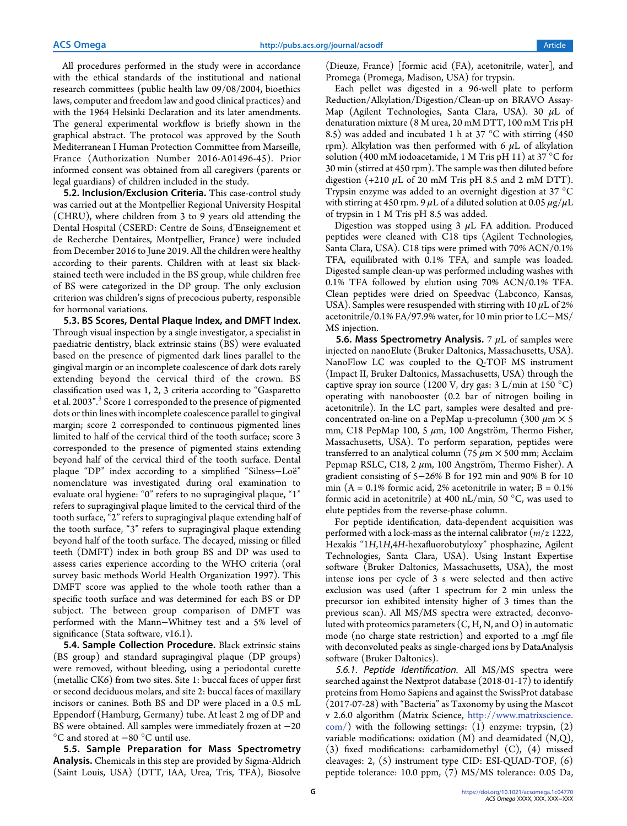All procedures performed in the study were in accordance with the ethical standards of the institutional and national research committees (public health law 09/08/2004, bioethics laws, computer and freedom law and good clinical practices) and with the 1964 Helsinki Declaration and its later amendments. The general experimental workflow is briefly shown in the graphical abstract. The protocol was approved by the South Mediterranean I Human Protection Committee from Marseille, France (Authorization Number 2016-A01496-45). Prior informed consent was obtained from all caregivers (parents or legal guardians) of children included in the study.

5.2. Inclusion/Exclusion Criteria. This case-control study was carried out at the Montpellier Regional University Hospital (CHRU), where children from 3 to 9 years old attending the Dental Hospital (CSERD: Centre de Soins, d'Enseignement et de Recherche Dentaires, Montpellier, France) were included from December 2016 to June 2019. All the children were healthy according to their parents. Children with at least six blackstained teeth were included in the BS group, while children free of BS were categorized in the DP group. The only exclusion criterion was children's signs of precocious puberty, responsible for hormonal variations.

5.3. BS Scores, Dental Plaque Index, and DMFT Index. Through visual inspection by a single investigator, a specialist in paediatric dentistry, black extrinsic stains (BS) were evaluated based on the presence of pigmented dark lines parallel to the gingival margin or an incomplete coalescence of dark dots rarely extending beyond the cervical third of the crown. BS classification used was 1, 2, 3 criteria according to "Gasparetto et al. 200[3](#page-8-0)".<sup>3</sup> Score 1 corresponded to the presence of pigmented dots or thin lines with incomplete coalescence parallel to gingival margin; score 2 corresponded to continuous pigmented lines limited to half of the cervical third of the tooth surface; score 3 corresponded to the presence of pigmented stains extending beyond half of the cervical third of the tooth surface. Dental plaque "DP" index according to a simplified "Silness-Loë" nomenclature was investigated during oral examination to evaluate oral hygiene: "0" refers to no supragingival plaque, "1" refers to supragingival plaque limited to the cervical third of the tooth surface, "2" refers to supragingival plaque extending half of the tooth surface, "3" refers to supragingival plaque extending beyond half of the tooth surface. The decayed, missing or filled teeth (DMFT) index in both group BS and DP was used to assess caries experience according to the WHO criteria (oral survey basic methods World Health Organization 1997). This DMFT score was applied to the whole tooth rather than a specific tooth surface and was determined for each BS or DP subject. The between group comparison of DMFT was performed with the Mann−Whitney test and a 5% level of significance (Stata software, v16.1).

5.4. Sample Collection Procedure. Black extrinsic stains (BS group) and standard supragingival plaque (DP groups) were removed, without bleeding, using a periodontal curette (metallic CK6) from two sites. Site 1: buccal faces of upper first or second deciduous molars, and site 2: buccal faces of maxillary incisors or canines. Both BS and DP were placed in a 0.5 mL Eppendorf (Hamburg, Germany) tube. At least 2 mg of DP and BS were obtained. All samples were immediately frozen at −20 °C and stored at −80 °C until use.

5.5. Sample Preparation for Mass Spectrometry Analysis. Chemicals in this step are provided by Sigma-Aldrich (Saint Louis, USA) (DTT, IAA, Urea, Tris, TFA), Biosolve

(Dieuze, France) [formic acid (FA), acetonitrile, water], and Promega (Promega, Madison, USA) for trypsin.

Each pellet was digested in a 96-well plate to perform Reduction/Alkylation/Digestion/Clean-up on BRAVO Assay-Map (Agilent Technologies, Santa Clara, USA). 30  $\mu$ L of denaturation mixture (8 M urea, 20 mM DTT, 100 mM Tris pH 8.5) was added and incubated 1 h at 37 °C with stirring (450 rpm). Alkylation was then performed with 6  $\mu$ L of alkylation solution (400 mM iodoacetamide, 1 M Tris pH 11) at 37 °C for 30 min (stirred at 450 rpm). The sample was then diluted before digestion  $(+210 \mu L)$  of 20 mM Tris pH 8.5 and 2 mM DTT). Trypsin enzyme was added to an overnight digestion at 37 °C with stirring at 450 rpm. 9  $\mu$ L of a diluted solution at 0.05  $\mu$ g/ $\mu$ L of trypsin in 1 M Tris pH 8.5 was added.

Digestion was stopped using  $3 \mu L$  FA addition. Produced peptides were cleaned with C18 tips (Agilent Technologies, Santa Clara, USA). C18 tips were primed with 70% ACN/0.1% TFA, equilibrated with 0.1% TFA, and sample was loaded. Digested sample clean-up was performed including washes with 0.1% TFA followed by elution using 70% ACN/0.1% TFA. Clean peptides were dried on Speedvac (Labconco, Kansas, USA). Samples were resuspended with stirring with 10  $\mu$ L of 2% acetonitrile/0.1% FA/97.9% water, for 10 min prior to LC−MS/ MS injection.

5.6. Mass Spectrometry Analysis. 7  $\mu$ L of samples were injected on nanoElute (Bruker Daltonics, Massachusetts, USA). NanoFlow LC was coupled to the Q-TOF MS instrument (Impact II, Bruker Daltonics, Massachusetts, USA) through the captive spray ion source (1200 V, dry gas:  $3 \text{ L/min}$  at  $150 \text{ }^{\circ}\text{C}$ ) operating with nanobooster (0.2 bar of nitrogen boiling in acetonitrile). In the LC part, samples were desalted and preconcentrated on-line on a PepMap u-precolumn (300  $\mu$ m  $\times$  5 mm, C18 PepMap 100, 5  $\mu$ m, 100 Angström, Thermo Fisher, Massachusetts, USA). To perform separation, peptides were transferred to an analytical column (75  $\mu$ m  $\times$  500 mm; Acclaim Pepmap RSLC, C18, 2  $\mu$ m, 100 Angström, Thermo Fisher). A gradient consisting of 5−26% B for 192 min and 90% B for 10 min ( $A = 0.1\%$  formic acid, 2% acetonitrile in water;  $B = 0.1\%$ formic acid in acetonitrile) at 400 nL/min, 50 °C, was used to elute peptides from the reverse-phase column.

For peptide identification, data-dependent acquisition was performed with a lock-mass as the internal calibrator ( $m/z$  1222, Hexakis "1H,1H,4H-hexafluorobutyloxy" phosphazine, Agilent Technologies, Santa Clara, USA). Using Instant Expertise software (Bruker Daltonics, Massachusetts, USA), the most intense ions per cycle of 3 s were selected and then active exclusion was used (after 1 spectrum for 2 min unless the precursor ion exhibited intensity higher of 3 times than the previous scan). All MS/MS spectra were extracted, deconvoluted with proteomics parameters  $(C, H, N, \text{and } O)$  in automatic mode (no charge state restriction) and exported to a .mgf file with deconvoluted peaks as single-charged ions by DataAnalysis software (Bruker Daltonics).

5.6.1. Peptide Identification. All MS/MS spectra were searched against the Nextprot database (2018-01-17) to identify proteins from Homo Sapiens and against the SwissProt database (2017-07-28) with "Bacteria" as Taxonomy by using the Mascot v 2.6.0 algorithm (Matrix Science, [http://www.matrixscience.](http://www.matrixscience.com/)  $\text{com}/$ ) with the following settings: (1) enzyme: trypsin, (2) variable modifications: oxidation (M) and deamidated (N,Q), (3) fixed modifications: carbamidomethyl (C), (4) missed cleavages: 2, (5) instrument type CID: ESI-QUAD-TOF, (6) peptide tolerance: 10.0 ppm, (7) MS/MS tolerance: 0.05 Da,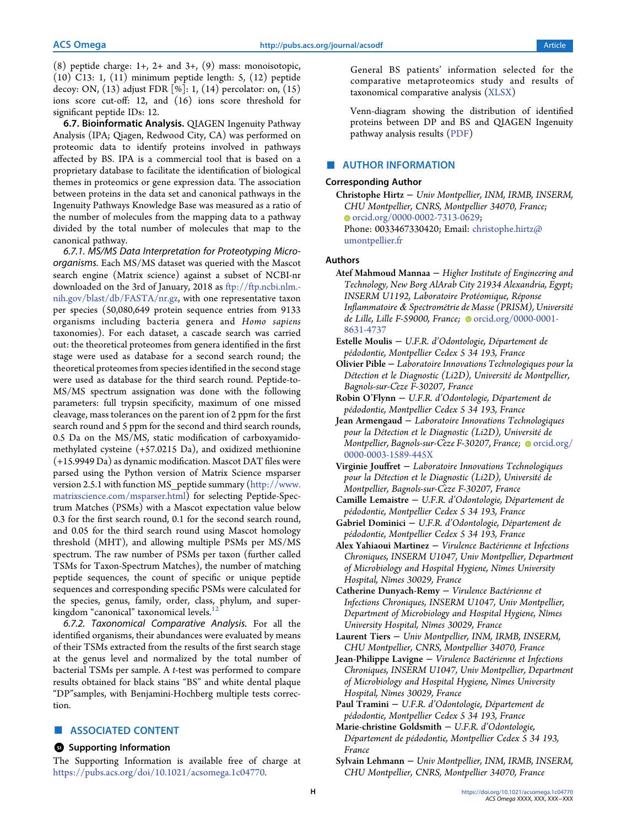<span id="page-7-0"></span> $(8)$  peptide charge: 1+, 2+ and 3+,  $(9)$  mass: monoisotopic, (10) C13: 1, (11) minimum peptide length: 5, (12) peptide decoy: ON, (13) adjust FDR [%]: 1, (14) percolator: on, (15) ions score cut-off: 12, and (16) ions score threshold for significant peptide IDs: 12.

6.7. Bioinformatic Analysis. QIAGEN Ingenuity Pathway Analysis (IPA; Qiagen, Redwood City, CA) was performed on proteomic data to identify proteins involved in pathways affected by BS. IPA is a commercial tool that is based on a proprietary database to facilitate the identification of biological themes in proteomics or gene expression data. The association between proteins in the data set and canonical pathways in the Ingenuity Pathways Knowledge Base was measured as a ratio of the number of molecules from the mapping data to a pathway divided by the total number of molecules that map to the canonical pathway.

6.7.1. MS/MS Data Interpretation for Proteotyping Microorganisms. Each MS/MS dataset was queried with the Mascot search engine (Matrix science) against a subset of NCBI-nr downloaded on the 3rd of January, 2018 as [ftp://ftp.ncbi.nlm.](ftp://ftp.ncbi.nlm.nih.gov/blast/db/FASTA/nr.gz) [nih.gov/blast/db/FASTA/nr.gz](ftp://ftp.ncbi.nlm.nih.gov/blast/db/FASTA/nr.gz), with one representative taxon per species (50,080,649 protein sequence entries from 9133 organisms including bacteria genera and Homo sapiens taxonomies). For each dataset, a cascade search was carried out: the theoretical proteomes from genera identified in the first stage were used as database for a second search round; the theoretical proteomes from species identified in the second stage were used as database for the third search round. Peptide-to-MS/MS spectrum assignation was done with the following parameters: full trypsin specificity, maximum of one missed cleavage, mass tolerances on the parent ion of 2 ppm for the first search round and 5 ppm for the second and third search rounds, 0.5 Da on the MS/MS, static modification of carboxyamidomethylated cysteine (+57.0215 Da), and oxidized methionine (+15.9949 Da) as dynamic modification. Mascot DAT files were parsed using the Python version of Matrix Science msparser version 2.5.1 with function MS\_peptide summary ([http://www.](http://www.matrixscience.com/msparser.html) [matrixscience.com/msparser.html\)](http://www.matrixscience.com/msparser.html) for selecting Peptide-Spectrum Matches (PSMs) with a Mascot expectation value below 0.3 for the first search round, 0.1 for the second search round, and 0.05 for the third search round using Mascot homology threshold (MHT), and allowing multiple PSMs per MS/MS spectrum. The raw number of PSMs per taxon (further called TSMs for Taxon-Spectrum Matches), the number of matching peptide sequences, the count of specific or unique peptide sequences and corresponding specific PSMs were calculated for the species, genus, family, order, class, phylum, and superkingdom "canonical" taxonomical levels.

6.7.2. Taxonomical Comparative Analysis. For all the identified organisms, their abundances were evaluated by means of their TSMs extracted from the results of the first search stage at the genus level and normalized by the total number of bacterial TSMs per sample. A t-test was performed to compare results obtained for black stains "BS" and white dental plaque "DP"samples, with Benjamini-Hochberg multiple tests correction.

# ■ ASSOCIATED CONTENT

#### **<sup>3</sup>** Supporting Information

The Supporting Information is available free of charge at [https://pubs.acs.org/doi/10.1021/acsomega.1c04770.](https://pubs.acs.org/doi/10.1021/acsomega.1c04770?goto=supporting-info)

General BS patients' information selected for the comparative metaproteomics study and results of taxonomical comparative analysis [\(XLSX\)](https://pubs.acs.org/doi/suppl/10.1021/acsomega.1c04770/suppl_file/ao1c04770_si_001.xlsx)

Venn-diagram showing the distribution of identified proteins between DP and BS and QIAGEN Ingenuity pathway analysis results ([PDF](https://pubs.acs.org/doi/suppl/10.1021/acsomega.1c04770/suppl_file/ao1c04770_si_003.pdf))

#### ■ AUTHOR INFORMATION

#### Corresponding Author

Christophe Hirtz − Univ Montpellier, INM, IRMB, INSERM, CHU Montpellier, CNRS, Montpellier 34070, France; [orcid.org/0000-0002-7313-0629;](https://orcid.org/0000-0002-7313-0629) Phone: 0033467330420; Email: [christophe.hirtz@](mailto:christophe.hirtz@umontpellier.fr) [umontpellier.fr](mailto:christophe.hirtz@umontpellier.fr)

## Authors

- Atef Mahmoud Mannaa − Higher Institute of Engineering and Technology, New Borg AlArab City 21934 Alexandria, Egypt; INSERM U1192, Laboratoire Protéomique, Réponse Inflammatoire & Spectrométrie de Masse (PRISM), Université de Lille, Lille F-59000, France; ● [orcid.org/0000-0001-](https://orcid.org/0000-0001-8631-4737) [8631-4737](https://orcid.org/0000-0001-8631-4737)
- Estelle Moulis − U.F.R. d'Odontologie, Département de pédodontie, Montpellier Cedex 5 34 193, France
- Olivier Pible − Laboratoire Innovations Technologiques pour la Détection et le Diagnostic (Li2D), Université de Montpellier, Bagnols-sur-Ceze F-30207, France ̀
- Robin O'Flynn − U.F.R. d'Odontologie, Département de pédodontie, Montpellier Cedex 5 34 193, France
- Jean Armengaud − Laboratoire Innovations Technologiques pour la Détection et le Diagnostic (Li2D), Université de Montpellier, Bagnols-sur-Ceze F-30207, France; Orcid.org/ [0000-0003-1589-445X](https://orcid.org/0000-0003-1589-445X)
- Virginie Jouffret − Laboratoire Innovations Technologiques pour la Détection et le Diagnostic (Li2D), Université de Montpellier, Bagnols-sur-Ceze F-30207, France ̀
- Camille Lemaistre − U.F.R. d'Odontologie, Département de pédodontie, Montpellier Cedex 5 34 193, France
- Gabriel Dominici − U.F.R. d'Odontologie, Département de pédodontie, Montpellier Cedex 5 34 193, France
- Alex Yahiaoui Martinez Virulence Bactérienne et Infections Chroniques, INSERM U1047, Univ Montpellier, Department of Microbiology and Hospital Hygiene, Nîmes University Hospital, Nîmes 30029, France
- Catherine Dunyach-Remy − Virulence Bactérienne et Infections Chroniques, INSERM U1047, Univ Montpellier, Department of Microbiology and Hospital Hygiene, Nîmes University Hospital, Nîmes 30029, France
- Laurent Tiers − Univ Montpellier, INM, IRMB, INSERM, CHU Montpellier, CNRS, Montpellier 34070, France
- Jean-Philippe Lavigne − Virulence Bactérienne et Infections Chroniques, INSERM U1047, Univ Montpellier, Department of Microbiology and Hospital Hygiene, Nîmes University Hospital, Nîmes 30029, France
- Paul Tramini − U.F.R. d'Odontologie, Département de pédodontie, Montpellier Cedex 5 34 193, France
- Marie-christine Goldsmith − U.F.R. d'Odontologie, Département de pédodontie, Montpellier Cedex 5 34 193, France
- Sylvain Lehmann − Univ Montpellier, INM, IRMB, INSERM, CHU Montpellier, CNRS, Montpellier 34070, France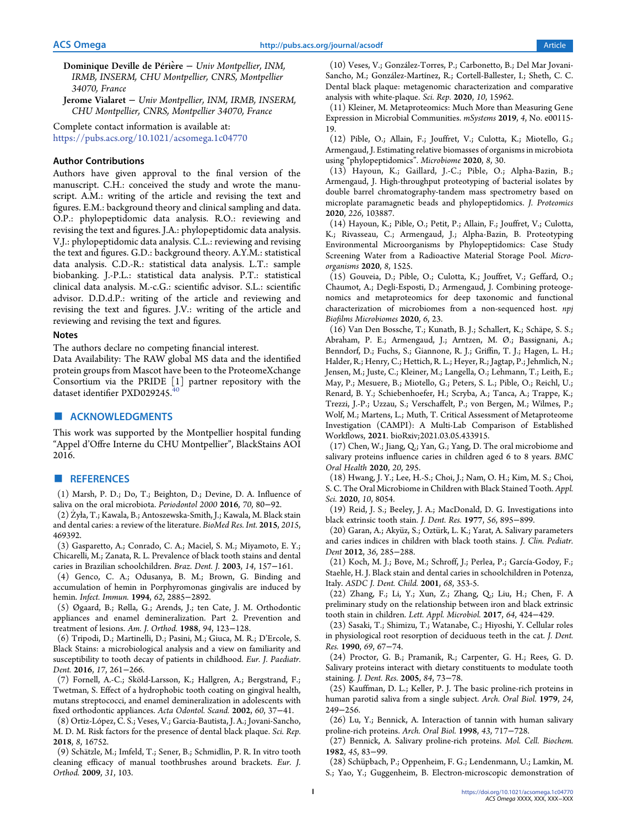- <span id="page-8-0"></span>Dominique Deville de Périère – Univ Montpellier, INM, IRMB, INSERM, CHU Montpellier, CNRS, Montpellier 34070, France
- Jerome Vialaret − Univ Montpellier, INM, IRMB, INSERM, CHU Montpellier, CNRS, Montpellier 34070, France

Complete contact information is available at: [https://pubs.acs.org/10.1021/acsomega.1c04770](https://pubs.acs.org/doi/10.1021/acsomega.1c04770?ref=pdf)

#### Author Contributions

Authors have given approval to the final version of the manuscript. C.H.: conceived the study and wrote the manuscript. A.M.: writing of the article and revising the text and figures. E.M.: background theory and clinical sampling and data. O.P.: phylopeptidomic data analysis. R.O.: reviewing and revising the text and figures. J.A.: phylopeptidomic data analysis. V.J.: phylopeptidomic data analysis. C.L.: reviewing and revising the text and figures. G.D.: background theory. A.Y.M.: statistical data analysis. C.D.-R.: statistical data analysis. L.T.: sample biobanking. J.-P.L.: statistical data analysis. P.T.: statistical clinical data analysis. M.-c.G.: scientific advisor. S.L.: scientific advisor. D.D.d.P.: writing of the article and reviewing and revising the text and figures. J.V.: writing of the article and reviewing and revising the text and figures.

#### Notes

The authors declare no competing financial interest.

Data Availability: The RAW global MS data and the identified protein groups from Mascot have been to the ProteomeXchange Consortium via the PRIDE [1] partner repository with the dataset identifier PXD029245.

#### ■ ACKNOWLEDGMENTS

This work was supported by the Montpellier hospital funding "Appel d'Offre Interne du CHU Montpellier", BlackStains AOI 2016.

#### ■ REFERENCES

(1) Marsh, P. D.; Do, T.; Beighton, D.; Devine, D. A. [Influence of](https://doi.org/10.1111/prd.12098) [saliva on the oral microbiota.](https://doi.org/10.1111/prd.12098) Periodontol 2000 2016, 70, 80−92.

(2) Żyła, T.; Kawala, B.; Antoszewska-Smith, J.; Kawala, M. [Black stain](https://doi.org/10.1155/2015/469392) [and dental caries: a review of the literature.](https://doi.org/10.1155/2015/469392) BioMed Res. Int. 2015, 2015, 469392.

(3) Gasparetto, A.; Conrado, C. A.; Maciel, S. M.; Miyamoto, E. Y.; Chicarelli, M.; Zanata, R. L[. Prevalence of black tooth stains and dental](https://doi.org/10.1590/s0103-64402003000300003) [caries in Brazilian schoolchildren.](https://doi.org/10.1590/s0103-64402003000300003) Braz. Dent. J. 2003, 14, 157−161.

(4) Genco, C. A.; Odusanya, B. M.; Brown, G. [Binding and](https://doi.org/10.1128/iai.62.7.2885-2892.1994) [accumulation of hemin in Porphyromonas gingivalis are induced by](https://doi.org/10.1128/iai.62.7.2885-2892.1994) [hemin.](https://doi.org/10.1128/iai.62.7.2885-2892.1994) Infect. Immun. 1994, 62, 2885−2892.

(5) Øgaard, B.; Rølla, G.; Arends, J.; ten Cate, J. M. [Orthodontic](https://doi.org/10.1016/0889-5406(88)90360-5) [appliances and enamel demineralization. Part 2. Prevention and](https://doi.org/10.1016/0889-5406(88)90360-5) [treatment of lesions.](https://doi.org/10.1016/0889-5406(88)90360-5) Am. J. Orthod. 1988, 94, 123−128.

(6) Tripodi, D.; Martinelli, D.; Pasini, M.; Giuca, M. R.; D'Ercole, S. Black Stains: a microbiological analysis and a view on familiarity and susceptibility to tooth decay of patients in childhood. Eur. J. Paediatr. Dent. 2016, 17, 261−266.

(7) Fornell, A.-C.; Sköld-Larsson, K.; Hallgren, A.; Bergstrand, F.; Twetman, S. [Effect of a hydrophobic tooth coating on gingival health,](https://doi.org/10.1080/000163502753471989) [mutans streptococci, and enamel demineralization in adolescents with](https://doi.org/10.1080/000163502753471989) [fixed orthodontic appliances.](https://doi.org/10.1080/000163502753471989) Acta Odontol. Scand. 2002, 60, 37−41.

(8) Ortiz-López, C. S.; Veses, V.; Garcia-Bautista, J. A.; Jovani-Sancho, M. D. M[. Risk factors for the presence of dental black plaque.](https://doi.org/10.1038/s41598-018-35240-7) Sci. Rep. 2018, 8, 16752.

(9) Schätzle, M.; Imfeld, T.; Sener, B.; Schmidlin, P. R[. In vitro tooth](https://doi.org/10.1093/ejo/cjn070) [cleaning efficacy of manual toothbrushes around brackets.](https://doi.org/10.1093/ejo/cjn070) Eur. J. Orthod. 2009, 31, 103.

(10) Veses, V.; González-Torres, P.; Carbonetto, B.; Del Mar Jovani-Sancho, M.; González-Martínez, R.; Cortell-Ballester, I.; Sheth, C. C. [Dental black plaque: metagenomic characterization and comparative](https://doi.org/10.1038/s41598-020-72460-2) [analysis with white-plaque.](https://doi.org/10.1038/s41598-020-72460-2) Sci. Rep. 2020, 10, 15962.

(11) Kleiner, M. [Metaproteomics: Much More than Measuring Gene](https://doi.org/10.1128/mSystems.00115-19) [Expression in Microbial Communities.](https://doi.org/10.1128/mSystems.00115-19) mSystems 2019, 4, No. e00115- 19.

(12) Pible, O.; Allain, F.; Jouffret, V.; Culotta, K.; Miotello, G.; Armengaud, J. [Estimating relative biomasses of organisms in microbiota](https://doi.org/10.1186/s40168-020-00797-x) using "[phylopeptidomics](https://doi.org/10.1186/s40168-020-00797-x)". Microbiome 2020, 8, 30.

(13) Hayoun, K.; Gaillard, J.-C.; Pible, O.; Alpha-Bazin, B.; Armengaud, J[. High-throughput proteotyping of bacterial isolates by](https://doi.org/10.1016/j.jprot.2020.103887) [double barrel chromatography-tandem mass spectrometry based on](https://doi.org/10.1016/j.jprot.2020.103887) [microplate paramagnetic beads and phylopeptidomics.](https://doi.org/10.1016/j.jprot.2020.103887) J. Proteomics 2020, 226, 103887.

(14) Hayoun, K.; Pible, O.; Petit, P.; Allain, F.; Jouffret, V.; Culotta, K.; Rivasseau, C.; Armengaud, J.; Alpha-Bazin, B. [Proteotyping](https://doi.org/10.3390/microorganisms8101525) [Environmental Microorganisms by Phylopeptidomics: Case Study](https://doi.org/10.3390/microorganisms8101525) [Screening Water from a Radioactive Material Storage Pool.](https://doi.org/10.3390/microorganisms8101525) Microorganisms 2020, 8, 1525.

(15) Gouveia, D.; Pible, O.; Culotta, K.; Jouffret, V.; Geffard, O.; Chaumot, A.; Degli-Esposti, D.; Armengaud, J[. Combining proteoge](https://doi.org/10.1038/s41522-020-0133-2)[nomics and metaproteomics for deep taxonomic and functional](https://doi.org/10.1038/s41522-020-0133-2) [characterization of microbiomes from a non-sequenced host.](https://doi.org/10.1038/s41522-020-0133-2) npj Biofilms Microbiomes 2020, 6, 23.

(16) Van Den Bossche, T.; Kunath, B. J.; Schallert, K.; Schäpe, S. S.; Abraham, P. E.; Armengaud, J.; Arntzen, M. Ø.; Bassignani, A.; Benndorf, D.; Fuchs, S.; Giannone, R. J.; Griffin, T. J.; Hagen, L. H.; Halder, R.; Henry, C.; Hettich, R. L.; Heyer, R.; Jagtap, P.; Jehmlich, N.; Jensen, M.; Juste, C.; Kleiner, M.; Langella, O.; Lehmann, T.; Leith, E.; May, P.; Mesuere, B.; Miotello, G.; Peters, S. L.; Pible, O.; Reichl, U.; Renard, B. Y.; Schiebenhoefer, H.; Scryba, A.; Tanca, A.; Trappe, K.; Trezzi, J.-P.; Uzzau, S.; Verschaffelt, P.; von Bergen, M.; Wilmes, P.; Wolf, M.; Martens, L.; Muth, T. Critical Assessment of Metaproteome Investigation (CAMPI): A Multi-Lab Comparison of Established Workflows, 2021. bioRxiv;2021.03.05.433915.

(17) Chen, W.; Jiang, Q.; Yan, G.; Yang, D. [The oral microbiome and](https://doi.org/10.1186/s12903-020-01262-9) [salivary proteins influence caries in children aged 6 to 8 years.](https://doi.org/10.1186/s12903-020-01262-9) BMC Oral Health 2020, 20, 295.

(18) Hwang, J. Y.; Lee, H.-S.; Choi, J.; Nam, O. H.; Kim, M. S.; Choi, S. C[. The Oral Microbiome in Children with Black Stained Tooth.](https://doi.org/10.3390/app10228054) Appl. Sci. 2020, 10, 8054.

(19) Reid, J. S.; Beeley, J. A.; MacDonald, D. G. [Investigations into](https://doi.org/10.1177/00220345770560081001) [black extrinsic tooth stain.](https://doi.org/10.1177/00220345770560081001) J. Dent. Res. 1977, 56, 895−899.

(20) Garan, A.; Akyüz, S.; Oztürk, L. K.; Yarat, A[. Salivary parameters](https://doi.org/10.17796/jcpd.36.3.21466m672t723713) [and caries indices in children with black tooth stains.](https://doi.org/10.17796/jcpd.36.3.21466m672t723713) J. Clin. Pediatr. Dent 2012, 36, 285−288.

(21) Koch, M. J.; Bove, M.; Schroff, J.; Perlea, P.; García-Godoy, F.; Staehle, H. J. Black stain and dental caries in schoolchildren in Potenza, Italy. ASDC J. Dent. Child. 2001, 68, 353-5.

(22) Zhang, F.; Li, Y.; Xun, Z.; Zhang, Q.; Liu, H.; Chen, F[. A](https://doi.org/10.1111/lam.12728) [preliminary study on the relationship between iron and black extrinsic](https://doi.org/10.1111/lam.12728) [tooth stain in children.](https://doi.org/10.1111/lam.12728) Lett. Appl. Microbiol. 2017, 64, 424−429.

(23) Sasaki, T.; Shimizu, T.; Watanabe, C.; Hiyoshi, Y. [Cellular roles](https://doi.org/10.1177/00220345900690011101) [in physiological root resorption of deciduous teeth in the cat.](https://doi.org/10.1177/00220345900690011101) J. Dent. Res. 1990, 69, 67−74.

(24) Proctor, G. B.; Pramanik, R.; Carpenter, G. H.; Rees, G. D. [Salivary proteins interact with dietary constituents to modulate tooth](https://doi.org/10.1177/154405910508400113) [staining.](https://doi.org/10.1177/154405910508400113) J. Dent. Res. 2005, 84, 73−78.

(25) Kauffman, D. L.; Keller, P. J[. The basic proline-rich proteins in](https://doi.org/10.1016/0003-9969(79)90085-2) [human parotid saliva from a single subject.](https://doi.org/10.1016/0003-9969(79)90085-2) Arch. Oral Biol. 1979, 24, 249−256.

(26) Lu, Y.; Bennick, A. [Interaction of tannin with human salivary](https://doi.org/10.1016/s0003-9969(98)00040-5) [proline-rich proteins.](https://doi.org/10.1016/s0003-9969(98)00040-5) Arch. Oral Biol. 1998, 43, 717−728.

(27) Bennick, A[. Salivary proline-rich proteins.](https://doi.org/10.1007/BF00223503) Mol. Cell. Biochem. 1982, 45, 83−99.

(28) Schüpbach, P.; Oppenheim, F. G.; Lendenmann, U.; Lamkin, M. S.; Yao, Y.; Guggenheim, B[. Electron-microscopic demonstration of](https://doi.org/10.1034/j.1600-0722.2001.00925.x)